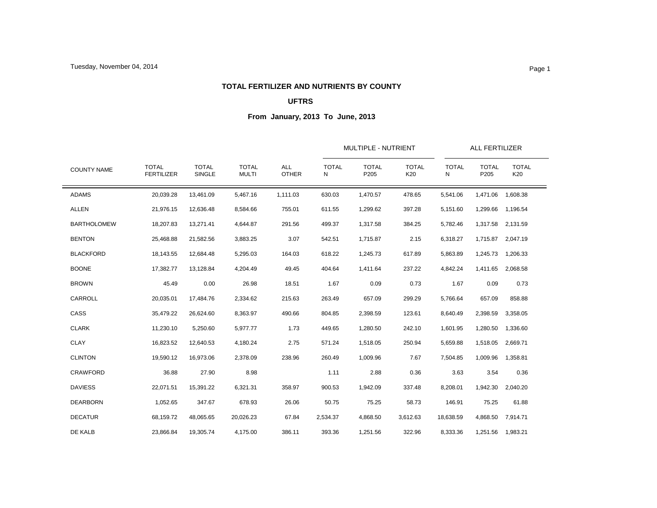### **TOTAL FERTILIZER AND NUTRIENTS BY COUNTY**

# **UFTRS**

|                    |                                   |                        |                              | <b>ALL</b><br><b>OTHER</b> |                   | MULTIPLE - NUTRIENT  |                     |                   | <b>ALL FERTILIZER</b> |                     |  |
|--------------------|-----------------------------------|------------------------|------------------------------|----------------------------|-------------------|----------------------|---------------------|-------------------|-----------------------|---------------------|--|
| <b>COUNTY NAME</b> | <b>TOTAL</b><br><b>FERTILIZER</b> | <b>TOTAL</b><br>SINGLE | <b>TOTAL</b><br><b>MULTI</b> |                            | <b>TOTAL</b><br>N | <b>TOTAL</b><br>P205 | <b>TOTAL</b><br>K20 | <b>TOTAL</b><br>N | <b>TOTAL</b><br>P205  | <b>TOTAL</b><br>K20 |  |
| <b>ADAMS</b>       | 20,039.28                         | 13,461.09              | 5,467.16                     | 1,111.03                   | 630.03            | 1,470.57             | 478.65              | 5,541.06          | 1,471.06              | 1,608.38            |  |
| <b>ALLEN</b>       | 21,976.15                         | 12,636.48              | 8,584.66                     | 755.01                     | 611.55            | 1,299.62             | 397.28              | 5,151.60          | 1,299.66              | 1,196.54            |  |
| <b>BARTHOLOMEW</b> | 18,207.83                         | 13,271.41              | 4,644.87                     | 291.56                     | 499.37            | 1,317.58             | 384.25              | 5,782.46          | 1,317.58              | 2,131.59            |  |
| <b>BENTON</b>      | 25,468.88                         | 21,582.56              | 3,883.25                     | 3.07                       | 542.51            | 1,715.87             | 2.15                | 6,318.27          | 1,715.87              | 2,047.19            |  |
| <b>BLACKFORD</b>   | 18,143.55                         | 12,684.48              | 5,295.03                     | 164.03                     | 618.22            | 1,245.73             | 617.89              | 5,863.89          | 1,245.73              | 1,206.33            |  |
| <b>BOONE</b>       | 17,382.77                         | 13,128.84              | 4,204.49                     | 49.45                      | 404.64            | 1,411.64             | 237.22              | 4,842.24          | 1,411.65              | 2,068.58            |  |
| <b>BROWN</b>       | 45.49                             | 0.00                   | 26.98                        | 18.51                      | 1.67              | 0.09                 | 0.73                | 1.67              | 0.09                  | 0.73                |  |
| CARROLL            | 20,035.01                         | 17,484.76              | 2,334.62                     | 215.63                     | 263.49            | 657.09               | 299.29              | 5,766.64          | 657.09                | 858.88              |  |
| CASS               | 35,479.22                         | 26,624.60              | 8,363.97                     | 490.66                     | 804.85            | 2,398.59             | 123.61              | 8,640.49          | 2,398.59              | 3,358.05            |  |
| <b>CLARK</b>       | 11,230.10                         | 5,250.60               | 5,977.77                     | 1.73                       | 449.65            | 1,280.50             | 242.10              | 1,601.95          | 1,280.50              | 1,336.60            |  |
| <b>CLAY</b>        | 16,823.52                         | 12,640.53              | 4,180.24                     | 2.75                       | 571.24            | 1,518.05             | 250.94              | 5,659.88          | 1,518.05              | 2,669.71            |  |
| <b>CLINTON</b>     | 19,590.12                         | 16,973.06              | 2,378.09                     | 238.96                     | 260.49            | 1,009.96             | 7.67                | 7,504.85          | 1,009.96              | 1,358.81            |  |
| <b>CRAWFORD</b>    | 36.88                             | 27.90                  | 8.98                         |                            | 1.11              | 2.88                 | 0.36                | 3.63              | 3.54                  | 0.36                |  |
| <b>DAVIESS</b>     | 22,071.51                         | 15,391.22              | 6,321.31                     | 358.97                     | 900.53            | 1,942.09             | 337.48              | 8,208.01          | 1,942.30              | 2,040.20            |  |
| <b>DEARBORN</b>    | 1,052.65                          | 347.67                 | 678.93                       | 26.06                      | 50.75             | 75.25                | 58.73               | 146.91            | 75.25                 | 61.88               |  |
| <b>DECATUR</b>     | 68,159.72                         | 48,065.65              | 20,026.23                    | 67.84                      | 2,534.37          | 4,868.50             | 3,612.63            | 18,638.59         | 4,868.50              | 7,914.71            |  |
| DE KALB            | 23,866.84                         | 19,305.74              | 4,175.00                     | 386.11                     | 393.36            | 1,251.56             | 322.96              | 8,333.36          | 1,251.56              | 1,983.21            |  |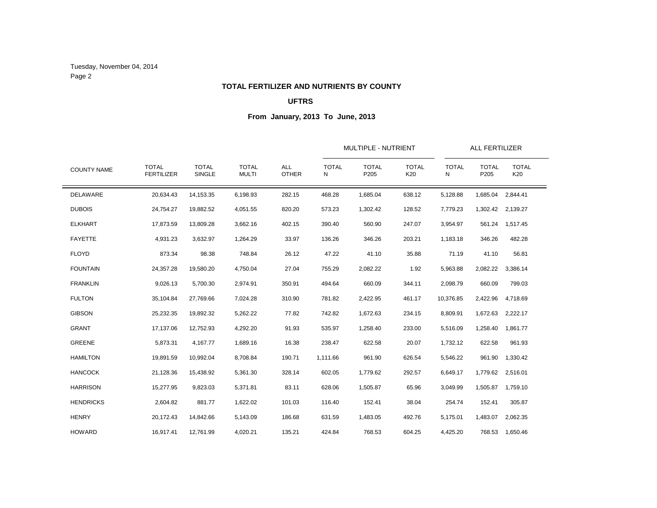Tuesday, November 04, 2014 Page 2

### **TOTAL FERTILIZER AND NUTRIENTS BY COUNTY**

# **UFTRS**

|                    |                                   |                               | <b>TOTAL</b><br><b>MULTI</b> | <b>ALL</b><br><b>OTHER</b> |                   | MULTIPLE - NUTRIENT  |                     |                   | <b>ALL FERTILIZER</b> |                     |  |
|--------------------|-----------------------------------|-------------------------------|------------------------------|----------------------------|-------------------|----------------------|---------------------|-------------------|-----------------------|---------------------|--|
| <b>COUNTY NAME</b> | <b>TOTAL</b><br><b>FERTILIZER</b> | <b>TOTAL</b><br><b>SINGLE</b> |                              |                            | <b>TOTAL</b><br>N | <b>TOTAL</b><br>P205 | <b>TOTAL</b><br>K20 | <b>TOTAL</b><br>N | <b>TOTAL</b><br>P205  | <b>TOTAL</b><br>K20 |  |
| DELAWARE           | 20,634.43                         | 14,153.35                     | 6,198.93                     | 282.15                     | 468.28            | 1,685.04             | 638.12              | 5,128.88          | 1,685.04              | 2,844.41            |  |
| <b>DUBOIS</b>      | 24,754.27                         | 19,882.52                     | 4,051.55                     | 820.20                     | 573.23            | 1,302.42             | 128.52              | 7,779.23          | 1,302.42              | 2,139.27            |  |
| <b>ELKHART</b>     | 17,873.59                         | 13,809.28                     | 3,662.16                     | 402.15                     | 390.40            | 560.90               | 247.07              | 3,954.97          | 561.24                | 1,517.45            |  |
| <b>FAYETTE</b>     | 4,931.23                          | 3,632.97                      | 1,264.29                     | 33.97                      | 136.26            | 346.26               | 203.21              | 1,183.18          | 346.26                | 482.28              |  |
| <b>FLOYD</b>       | 873.34                            | 98.38                         | 748.84                       | 26.12                      | 47.22             | 41.10                | 35.88               | 71.19             | 41.10                 | 56.81               |  |
| <b>FOUNTAIN</b>    | 24,357.28                         | 19,580.20                     | 4,750.04                     | 27.04                      | 755.29            | 2,082.22             | 1.92                | 5,963.88          | 2,082.22              | 3,386.14            |  |
| <b>FRANKLIN</b>    | 9,026.13                          | 5,700.30                      | 2,974.91                     | 350.91                     | 494.64            | 660.09               | 344.11              | 2,098.79          | 660.09                | 799.03              |  |
| <b>FULTON</b>      | 35,104.84                         | 27,769.66                     | 7,024.28                     | 310.90                     | 781.82            | 2,422.95             | 461.17              | 10,376.85         | 2,422.96              | 4,718.69            |  |
| <b>GIBSON</b>      | 25,232.35                         | 19,892.32                     | 5,262.22                     | 77.82                      | 742.82            | 1,672.63             | 234.15              | 8,809.91          |                       | 1,672.63 2,222.17   |  |
| <b>GRANT</b>       | 17,137.06                         | 12,752.93                     | 4,292.20                     | 91.93                      | 535.97            | 1,258.40             | 233.00              | 5,516.09          | 1,258.40              | 1,861.77            |  |
| <b>GREENE</b>      | 5,873.31                          | 4,167.77                      | 1,689.16                     | 16.38                      | 238.47            | 622.58               | 20.07               | 1,732.12          | 622.58                | 961.93              |  |
| <b>HAMILTON</b>    | 19,891.59                         | 10,992.04                     | 8,708.84                     | 190.71                     | 1,111.66          | 961.90               | 626.54              | 5,546.22          | 961.90                | 1,330.42            |  |
| <b>HANCOCK</b>     | 21,128.36                         | 15,438.92                     | 5,361.30                     | 328.14                     | 602.05            | 1,779.62             | 292.57              | 6,649.17          | 1,779.62              | 2,516.01            |  |
| <b>HARRISON</b>    | 15,277.95                         | 9,823.03                      | 5,371.81                     | 83.11                      | 628.06            | 1,505.87             | 65.96               | 3,049.99          | 1,505.87              | 1,759.10            |  |
| <b>HENDRICKS</b>   | 2,604.82                          | 881.77                        | 1,622.02                     | 101.03                     | 116.40            | 152.41               | 38.04               | 254.74            | 152.41                | 305.87              |  |
| <b>HENRY</b>       | 20,172.43                         | 14,842.66                     | 5,143.09                     | 186.68                     | 631.59            | 1,483.05             | 492.76              | 5,175.01          | 1,483.07              | 2,062.35            |  |
| <b>HOWARD</b>      | 16,917.41                         | 12,761.99                     | 4,020.21                     | 135.21                     | 424.84            | 768.53               | 604.25              | 4,425.20          |                       | 768.53 1,650.46     |  |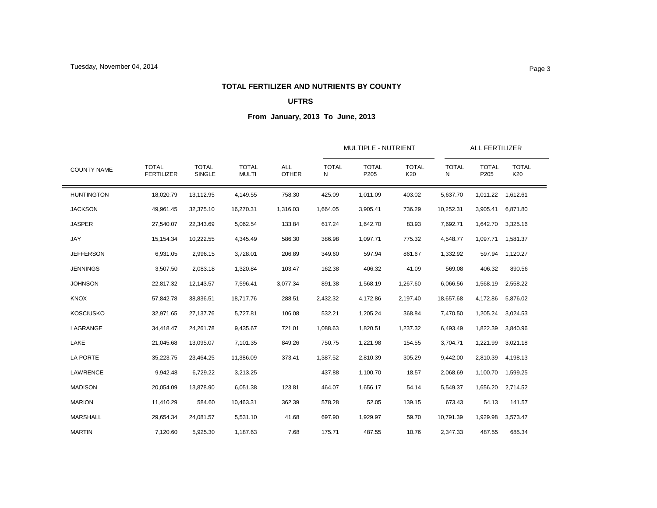#### **TOTAL FERTILIZER AND NUTRIENTS BY COUNTY**

# **UFTRS**

|                    |                                   |                               | <b>TOTAL</b><br><b>MULTI</b> | <b>ALL</b><br><b>OTHER</b> |                   | MULTIPLE - NUTRIENT  |                     |                   | <b>ALL FERTILIZER</b>            |                     |  |
|--------------------|-----------------------------------|-------------------------------|------------------------------|----------------------------|-------------------|----------------------|---------------------|-------------------|----------------------------------|---------------------|--|
| <b>COUNTY NAME</b> | <b>TOTAL</b><br><b>FERTILIZER</b> | <b>TOTAL</b><br><b>SINGLE</b> |                              |                            | <b>TOTAL</b><br>N | <b>TOTAL</b><br>P205 | <b>TOTAL</b><br>K20 | <b>TOTAL</b><br>N | <b>TOTAL</b><br>P <sub>205</sub> | <b>TOTAL</b><br>K20 |  |
| <b>HUNTINGTON</b>  | 18,020.79                         | 13,112.95                     | 4,149.55                     | 758.30                     | 425.09            | 1,011.09             | 403.02              | 5,637.70          | 1,011.22                         | 1,612.61            |  |
| <b>JACKSON</b>     | 49,961.45                         | 32,375.10                     | 16,270.31                    | 1,316.03                   | 1,664.05          | 3,905.41             | 736.29              | 10,252.31         | 3,905.41                         | 6,871.80            |  |
| <b>JASPER</b>      | 27,540.07                         | 22,343.69                     | 5,062.54                     | 133.84                     | 617.24            | 1,642.70             | 83.93               | 7,692.71          | 1,642.70                         | 3,325.16            |  |
| JAY                | 15,154.34                         | 10,222.55                     | 4,345.49                     | 586.30                     | 386.98            | 1,097.71             | 775.32              | 4,548.77          | 1,097.71                         | 1,581.37            |  |
| <b>JEFFERSON</b>   | 6,931.05                          | 2,996.15                      | 3,728.01                     | 206.89                     | 349.60            | 597.94               | 861.67              | 1,332.92          | 597.94                           | 1,120.27            |  |
| <b>JENNINGS</b>    | 3,507.50                          | 2,083.18                      | 1,320.84                     | 103.47                     | 162.38            | 406.32               | 41.09               | 569.08            | 406.32                           | 890.56              |  |
| <b>JOHNSON</b>     | 22,817.32                         | 12,143.57                     | 7,596.41                     | 3,077.34                   | 891.38            | 1,568.19             | 1,267.60            | 6,066.56          | 1,568.19                         | 2,558.22            |  |
| <b>KNOX</b>        | 57,842.78                         | 38,836.51                     | 18,717.76                    | 288.51                     | 2,432.32          | 4,172.86             | 2,197.40            | 18,657.68         | 4,172.86                         | 5,876.02            |  |
| <b>KOSCIUSKO</b>   | 32,971.65                         | 27,137.76                     | 5,727.81                     | 106.08                     | 532.21            | 1,205.24             | 368.84              | 7,470.50          | 1,205.24                         | 3,024.53            |  |
| LAGRANGE           | 34,418.47                         | 24,261.78                     | 9,435.67                     | 721.01                     | 1,088.63          | 1,820.51             | 1,237.32            | 6,493.49          | 1,822.39                         | 3,840.96            |  |
| LAKE               | 21,045.68                         | 13,095.07                     | 7,101.35                     | 849.26                     | 750.75            | 1,221.98             | 154.55              | 3,704.71          | 1,221.99                         | 3,021.18            |  |
| <b>LA PORTE</b>    | 35,223.75                         | 23,464.25                     | 11,386.09                    | 373.41                     | 1,387.52          | 2,810.39             | 305.29              | 9,442.00          | 2,810.39                         | 4,198.13            |  |
| <b>LAWRENCE</b>    | 9,942.48                          | 6,729.22                      | 3,213.25                     |                            | 437.88            | 1,100.70             | 18.57               | 2,068.69          | 1,100.70                         | 1,599.25            |  |
| <b>MADISON</b>     | 20,054.09                         | 13,878.90                     | 6,051.38                     | 123.81                     | 464.07            | 1,656.17             | 54.14               | 5,549.37          | 1,656.20                         | 2,714.52            |  |
| <b>MARION</b>      | 11,410.29                         | 584.60                        | 10,463.31                    | 362.39                     | 578.28            | 52.05                | 139.15              | 673.43            | 54.13                            | 141.57              |  |
| MARSHALL           | 29,654.34                         | 24,081.57                     | 5,531.10                     | 41.68                      | 697.90            | 1,929.97             | 59.70               | 10,791.39         | 1,929.98                         | 3,573.47            |  |
| <b>MARTIN</b>      | 7,120.60                          | 5,925.30                      | 1,187.63                     | 7.68                       | 175.71            | 487.55               | 10.76               | 2,347.33          | 487.55                           | 685.34              |  |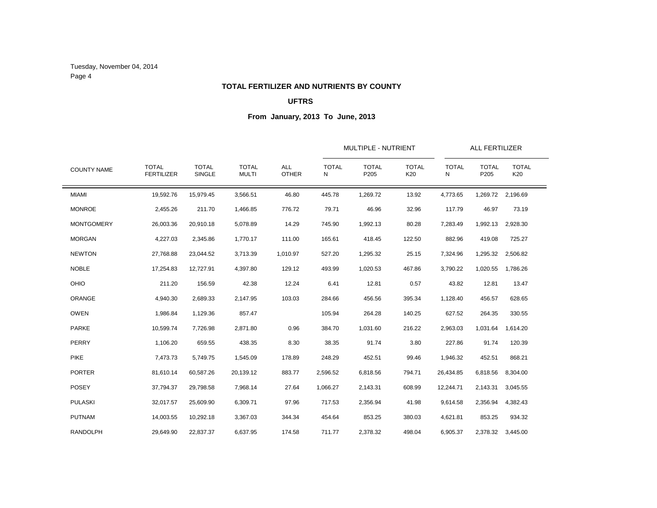Tuesday, November 04, 2014 Page 4

### **TOTAL FERTILIZER AND NUTRIENTS BY COUNTY**

# **UFTRS**

|                    |                                   |                        |                              | ALL<br><b>OTHER</b> |                   | MULTIPLE - NUTRIENT  |                     |                   | <b>ALL FERTILIZER</b> |                     |  |  |
|--------------------|-----------------------------------|------------------------|------------------------------|---------------------|-------------------|----------------------|---------------------|-------------------|-----------------------|---------------------|--|--|
| <b>COUNTY NAME</b> | <b>TOTAL</b><br><b>FERTILIZER</b> | <b>TOTAL</b><br>SINGLE | <b>TOTAL</b><br><b>MULTI</b> |                     | <b>TOTAL</b><br>N | <b>TOTAL</b><br>P205 | <b>TOTAL</b><br>K20 | <b>TOTAL</b><br>N | <b>TOTAL</b><br>P205  | <b>TOTAL</b><br>K20 |  |  |
| <b>MIAMI</b>       | 19,592.76                         | 15,979.45              | 3,566.51                     | 46.80               | 445.78            | 1,269.72             | 13.92               | 4,773.65          | 1,269.72              | 2,196.69            |  |  |
| <b>MONROE</b>      | 2,455.26                          | 211.70                 | 1,466.85                     | 776.72              | 79.71             | 46.96                | 32.96               | 117.79            | 46.97                 | 73.19               |  |  |
| <b>MONTGOMERY</b>  | 26,003.36                         | 20,910.18              | 5,078.89                     | 14.29               | 745.90            | 1,992.13             | 80.28               | 7,283.49          | 1,992.13              | 2,928.30            |  |  |
| <b>MORGAN</b>      | 4,227.03                          | 2,345.86               | 1,770.17                     | 111.00              | 165.61            | 418.45               | 122.50              | 882.96            | 419.08                | 725.27              |  |  |
| <b>NEWTON</b>      | 27,768.88                         | 23,044.52              | 3,713.39                     | 1,010.97            | 527.20            | 1,295.32             | 25.15               | 7,324.96          | 1,295.32              | 2,506.82            |  |  |
| <b>NOBLE</b>       | 17,254.83                         | 12,727.91              | 4,397.80                     | 129.12              | 493.99            | 1,020.53             | 467.86              | 3,790.22          | 1,020.55              | 1,786.26            |  |  |
| OHIO               | 211.20                            | 156.59                 | 42.38                        | 12.24               | 6.41              | 12.81                | 0.57                | 43.82             | 12.81                 | 13.47               |  |  |
| ORANGE             | 4,940.30                          | 2,689.33               | 2,147.95                     | 103.03              | 284.66            | 456.56               | 395.34              | 1,128.40          | 456.57                | 628.65              |  |  |
| <b>OWEN</b>        | 1,986.84                          | 1,129.36               | 857.47                       |                     | 105.94            | 264.28               | 140.25              | 627.52            | 264.35                | 330.55              |  |  |
| PARKE              | 10,599.74                         | 7,726.98               | 2,871.80                     | 0.96                | 384.70            | 1,031.60             | 216.22              | 2,963.03          | 1,031.64              | 1,614.20            |  |  |
| PERRY              | 1,106.20                          | 659.55                 | 438.35                       | 8.30                | 38.35             | 91.74                | 3.80                | 227.86            | 91.74                 | 120.39              |  |  |
| <b>PIKE</b>        | 7,473.73                          | 5,749.75               | 1,545.09                     | 178.89              | 248.29            | 452.51               | 99.46               | 1,946.32          | 452.51                | 868.21              |  |  |
| <b>PORTER</b>      | 81,610.14                         | 60,587.26              | 20,139.12                    | 883.77              | 2,596.52          | 6,818.56             | 794.71              | 26,434.85         | 6,818.56              | 8,304.00            |  |  |
| <b>POSEY</b>       | 37,794.37                         | 29,798.58              | 7,968.14                     | 27.64               | 1,066.27          | 2,143.31             | 608.99              | 12,244.71         | 2,143.31              | 3,045.55            |  |  |
| <b>PULASKI</b>     | 32,017.57                         | 25,609.90              | 6,309.71                     | 97.96               | 717.53            | 2,356.94             | 41.98               | 9,614.58          | 2,356.94              | 4,382.43            |  |  |
| <b>PUTNAM</b>      | 14,003.55                         | 10,292.18              | 3,367.03                     | 344.34              | 454.64            | 853.25               | 380.03              | 4,621.81          | 853.25                | 934.32              |  |  |
| <b>RANDOLPH</b>    | 29,649.90                         | 22,837.37              | 6,637.95                     | 174.58              | 711.77            | 2,378.32             | 498.04              | 6,905.37          |                       | 2,378.32 3,445.00   |  |  |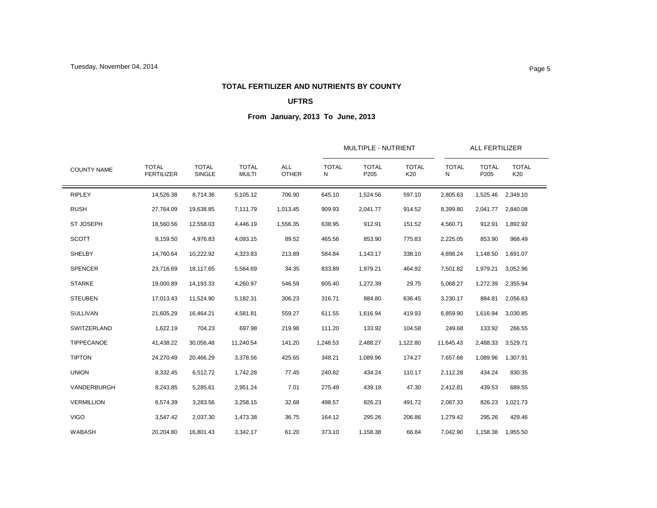### **TOTAL FERTILIZER AND NUTRIENTS BY COUNTY**

# **UFTRS**

|                    |                                   |                               | <b>TOTAL</b><br><b>MULTI</b> | <b>ALL</b><br><b>OTHER</b> |                   | MULTIPLE - NUTRIENT  |                     |                   | <b>ALL FERTILIZER</b> |                     |
|--------------------|-----------------------------------|-------------------------------|------------------------------|----------------------------|-------------------|----------------------|---------------------|-------------------|-----------------------|---------------------|
| <b>COUNTY NAME</b> | <b>TOTAL</b><br><b>FERTILIZER</b> | <b>TOTAL</b><br><b>SINGLE</b> |                              |                            | <b>TOTAL</b><br>N | <b>TOTAL</b><br>P205 | <b>TOTAL</b><br>K20 | <b>TOTAL</b><br>N | <b>TOTAL</b><br>P205  | <b>TOTAL</b><br>K20 |
| <b>RIPLEY</b>      | 14,526.38                         | 8,714.36                      | 5,105.12                     | 706.90                     | 645.10            | 1,524.56             | 597.10              | 2,805.63          | 1,525.46              | 2,349.10            |
| <b>RUSH</b>        | 27,764.09                         | 19,638.85                     | 7,111.79                     | 1,013.45                   | 909.93            | 2,041.77             | 914.52              | 8,399.80          | 2,041.77              | 2,840.08            |
| <b>ST JOSEPH</b>   | 18,560.56                         | 12,558.03                     | 4,446.19                     | 1,556.35                   | 638.95            | 912.91               | 151.52              | 4,560.71          | 912.91                | 1,892.92            |
| <b>SCOTT</b>       | 9,159.50                          | 4,976.83                      | 4,093.15                     | 89.52                      | 465.56            | 853.90               | 775.83              | 2,225.05          | 853.90                | 968.49              |
| SHELBY             | 14,760.64                         | 10,222.92                     | 4,323.83                     | 213.89                     | 584.84            | 1,143.17             | 338.10              | 4,898.24          | 1,148.50              | 1,691.07            |
| <b>SPENCER</b>     | 23,716.69                         | 18,117.65                     | 5,564.69                     | 34.35                      | 833.89            | 1,979.21             | 464.92              | 7,501.82          | 1,979.21              | 3,052.96            |
| <b>STARKE</b>      | 19,000.89                         | 14,193.33                     | 4,260.97                     | 546.59                     | 605.40            | 1,272.39             | 29.75               | 5,068.27          | 1,272.39              | 2,355.94            |
| <b>STEUBEN</b>     | 17,013.43                         | 11,524.90                     | 5,182.31                     | 306.23                     | 316.71            | 884.80               | 636.45              | 3,230.17          | 884.81                | 2,056.63            |
| <b>SULLIVAN</b>    | 21,605.29                         | 16,464.21                     | 4,581.81                     | 559.27                     | 611.55            | 1,616.94             | 419.93              | 6,859.90          | 1,616.94              | 3,030.85            |
| SWITZERLAND        | 1,622.19                          | 704.23                        | 697.98                       | 219.98                     | 111.20            | 133.92               | 104.58              | 249.68            | 133.92                | 266.55              |
| <b>TIPPECANOE</b>  | 41,438.22                         | 30,056.48                     | 11,240.54                    | 141.20                     | 1,248.53          | 2,488.27             | 1,122.80            | 11,645.43         | 2,488.33              | 3,529.71            |
| <b>TIPTON</b>      | 24,270.49                         | 20,466.29                     | 3,378.56                     | 425.65                     | 348.21            | 1,089.96             | 174.27              | 7,657.68          | 1,089.96              | 1,307.91            |
| <b>UNION</b>       | 8,332.45                          | 6,512.72                      | 1,742.28                     | 77.45                      | 240.82            | 434.24               | 110.17              | 2,112.28          | 434.24                | 830.35              |
| VANDERBURGH        | 8,243.85                          | 5,285.61                      | 2,951.24                     | 7.01                       | 275.49            | 439.18               | 47.30               | 2,412.81          | 439.53                | 689.55              |
| <b>VERMILLION</b>  | 6,574.39                          | 3,283.56                      | 3,258.15                     | 32.68                      | 498.57            | 826.23               | 491.72              | 2,087.33          | 826.23                | 1,021.73            |
| <b>VIGO</b>        | 3,547.42                          | 2,037.30                      | 1,473.38                     | 36.75                      | 164.12            | 295.26               | 206.86              | 1,279.42          | 295.26                | 429.46              |
| <b>WABASH</b>      | 20.204.80                         | 16,801.43                     | 3,342.17                     | 61.20                      | 373.10            | 1,158.38             | 66.84               | 7,042.90          | 1,158.38              | 1,955.50            |